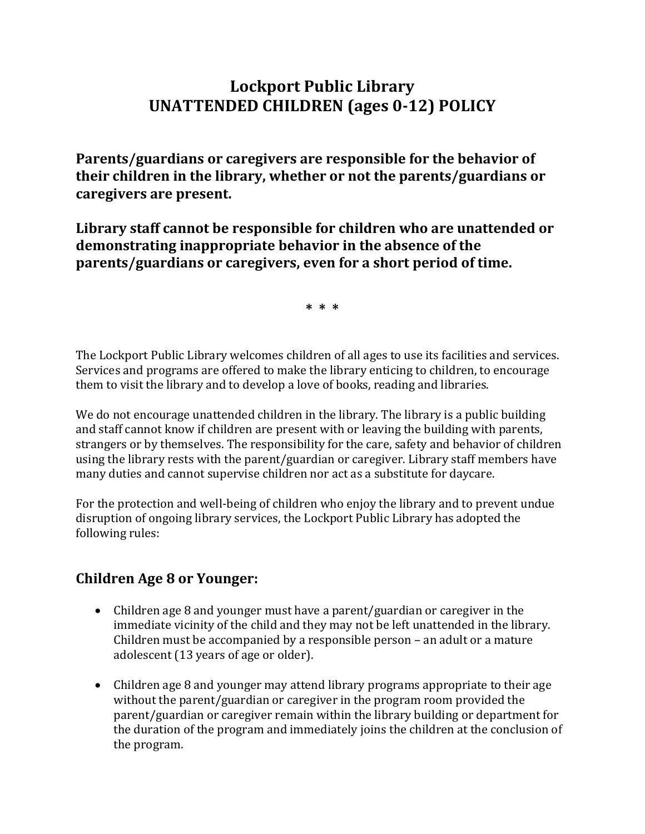## **Lockport Public Library UNATTENDED CHILDREN (ages 0-12) POLICY**

**Parents/guardians or caregivers are responsible for the behavior of their children in the library, whether or not the parents/guardians or caregivers are present.**

**Library staff cannot be responsible for children who are unattended or demonstrating inappropriate behavior in the absence of the parents/guardians or caregivers, even for a short period of time.**

**\* \* \***

The Lockport Public Library welcomes children of all ages to use its facilities and services. Services and programs are offered to make the library enticing to children, to encourage them to visit the library and to develop a love of books, reading and libraries.

We do not encourage unattended children in the library. The library is a public building and staff cannot know if children are present with or leaving the building with parents, strangers or by themselves. The responsibility for the care, safety and behavior of children using the library rests with the parent/guardian or caregiver. Library staff members have many duties and cannot supervise children nor act as a substitute for daycare.

For the protection and well-being of children who enjoy the library and to prevent undue disruption of ongoing library services, the Lockport Public Library has adopted the following rules:

## **Children Age 8 or Younger:**

- Children age 8 and younger must have a parent/guardian or caregiver in the immediate vicinity of the child and they may not be left unattended in the library. Children must be accompanied by a responsible person – an adult or a mature adolescent (13 years of age or older).
- Children age 8 and younger may attend library programs appropriate to their age without the parent/guardian or caregiver in the program room provided the parent/guardian or caregiver remain within the library building or department for the duration of the program and immediately joins the children at the conclusion of the program.